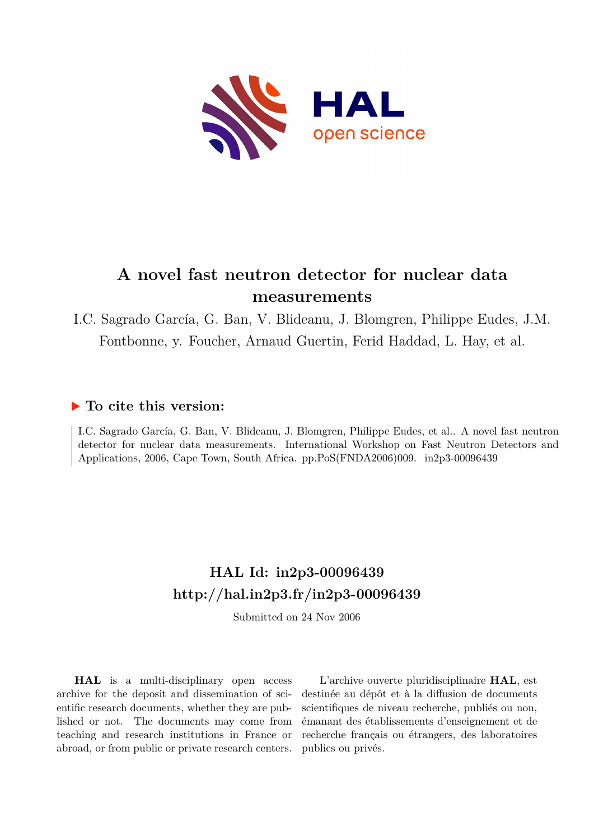

# **A novel fast neutron detector for nuclear data measurements**

# I.C. Sagrado García, G. Ban, V. Blideanu, J. Blomgren, Philippe Eudes, J.M. Fontbonne, y. Foucher, Arnaud Guertin, Ferid Haddad, L. Hay, et al.

## **To cite this version:**

I.C. Sagrado García, G. Ban, V. Blideanu, J. Blomgren, Philippe Eudes, et al.. A novel fast neutron detector for nuclear data measurements. International Workshop on Fast Neutron Detectors and Applications, 2006, Cape Town, South Africa. pp.PoS(FNDA2006)009. in2p3-00096439

# **HAL Id: in2p3-00096439 <http://hal.in2p3.fr/in2p3-00096439>**

Submitted on 24 Nov 2006

**HAL** is a multi-disciplinary open access archive for the deposit and dissemination of scientific research documents, whether they are published or not. The documents may come from teaching and research institutions in France or abroad, or from public or private research centers.

L'archive ouverte pluridisciplinaire **HAL**, est destinée au dépôt et à la diffusion de documents scientifiques de niveau recherche, publiés ou non, émanant des établissements d'enseignement et de recherche français ou étrangers, des laboratoires publics ou privés.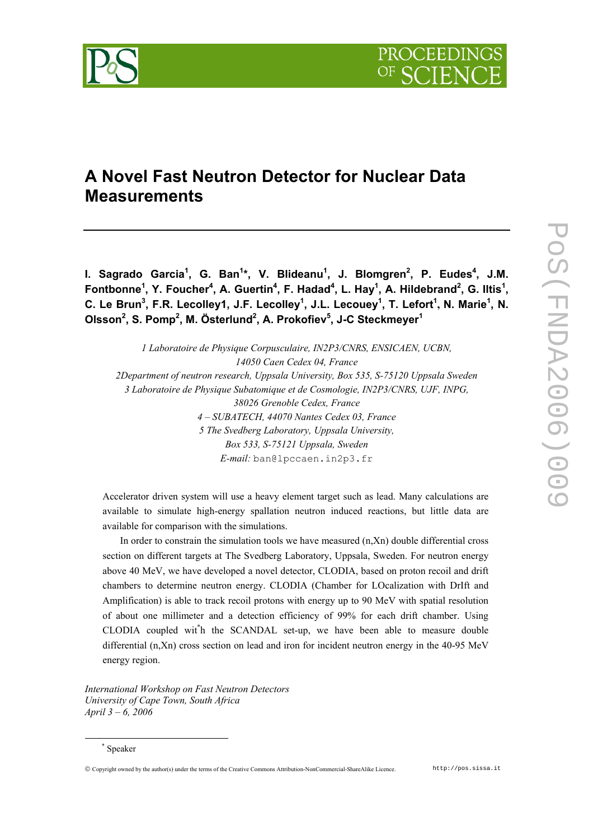# **A Novel Fast Neutron Detector for Nuclear Data Measurements**

**l. Sagrado Garcia<sup>1</sup>, G. Ban<sup>1</sup>\*, V. Blideanu<sup>1</sup>, J. Blomgren<sup>2</sup>, P. Eudes<sup>4</sup>, J.M.** Fontbonne<sup>1</sup>, Y. Foucher<sup>4</sup>, A. Guertin<sup>4</sup>, F. Hadad<sup>4</sup>, L. Hay<sup>1</sup>, A. Hildebrand<sup>2</sup>, G. Iltis<sup>1</sup>, C. Le Brun<sup>3</sup>, F.R. Lecolley1, J.F. Lecolley<sup>1</sup>, J.L. Lecouey<sup>1</sup>, T. Lefort<sup>1</sup>, N. Marie<sup>1</sup>, N. **Olsson<sup>2</sup> , S. Pomp2 , M. Österlund2 , A. Prokofiev5 , J-C Steckmeyer<sup>1</sup>**

*1 Laboratoire de Physique Corpusculaire, IN2P3/CNRS, ENSICAEN, UCBN, 14050 Caen Cedex 04, France 2Department of neutron research, Uppsala University, Box 535, S-75120 Uppsala Sweden 3 Laboratoire de Physique Subatomique et de Cosmologie, IN2P3/CNRS, UJF, INPG, 38026 Grenoble Cedex, France 4 – SUBATECH, 44070 Nantes Cedex 03, France 5 The Svedberg Laboratory, Uppsala University, Box 533, S-75121 Uppsala, Sweden E-mail:* ban@lpccaen.in2p3.fr

Accelerator driven system will use a heavy element target such as lead. Many calculations are available to simulate high-energy spallation neutron induced reactions, but little data are available for comparison with the simulations.

In order to constrain the simulation tools we have measured  $(n,Xn)$  double differential cross section on different targets at The Svedberg Laboratory, Uppsala, Sweden. For neutron energy above 40 MeV, we have developed a novel detector, CLODIA, based on proton recoil and drift chambers to determine neutron energy. CLODIA (Chamber for LOcalization with DrIft and Amplification) is able to track recoil protons with energy up to 90 MeV with spatial resolution of about one millimeter and a detection efficiency of 99% for each drift chamber. Using CLODIA coupled wit\* h the SCANDAL set-up, we have been able to measure double differential (n,Xn) cross section on lead and iron for incident neutron energy in the 40-95 MeV energy region.

*International Workshop on Fast Neutron Detectors University of Cape Town, South Africa April 3 – 6, 2006* 

Copyright owned by the author(s) under the terms of the Creative Commons Attribution-NonCommercial-ShareAlike Licence. http://pos.sissa.it

 <sup>\*</sup> Speaker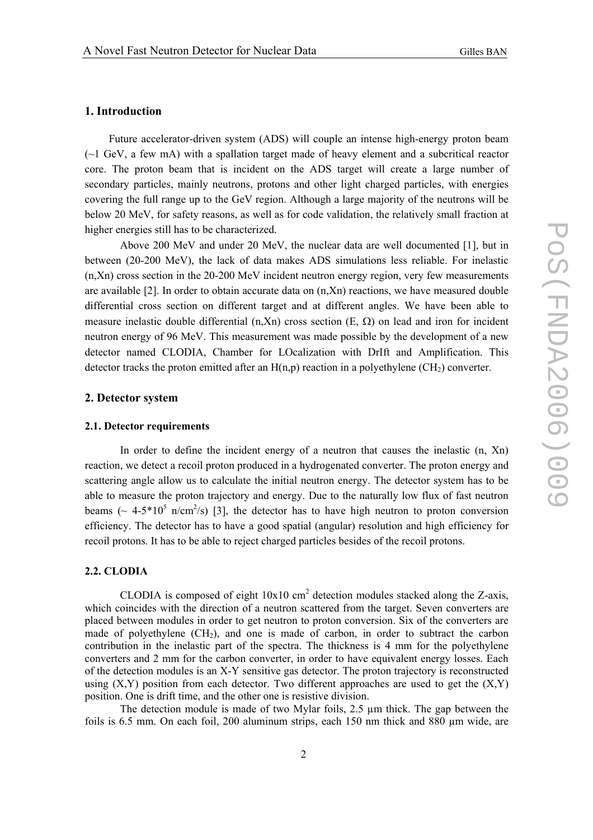#### **1. Introduction**

Future accelerator-driven system (ADS) will couple an intense high-energy proton beam  $(\sim)$  GeV, a few mA) with a spallation target made of heavy element and a subcritical reactor core. The proton beam that is incident on the ADS target will create a large number of secondary particles, mainly neutrons, protons and other light charged particles, with energies covering the full range up to the GeV region. Although a large majority of the neutrons will be below 20 MeV, for safety reasons, as well as for code validation, the relatively small fraction at higher energies still has to be characterized.

 Above 200 MeV and under 20 MeV, the nuclear data are well documented [1], but in between (20-200 MeV), the lack of data makes ADS simulations less reliable. For inelastic (n,Xn) cross section in the 20-200 MeV incident neutron energy region, very few measurements are available [2]. In order to obtain accurate data on (n,Xn) reactions, we have measured double differential cross section on different target and at different angles. We have been able to measure inelastic double differential  $(n, Xn)$  cross section  $(E, \Omega)$  on lead and iron for incident neutron energy of 96 MeV. This measurement was made possible by the development of a new detector named CLODIA, Chamber for LOcalization with DrIft and Amplification. This detector tracks the proton emitted after an  $H(n,p)$  reaction in a polyethylene (CH<sub>2</sub>) converter.

## **2. Detector system**

#### **2.1. Detector requirements**

 In order to define the incident energy of a neutron that causes the inelastic (n, Xn) reaction, we detect a recoil proton produced in a hydrogenated converter. The proton energy and scattering angle allow us to calculate the initial neutron energy. The detector system has to be able to measure the proton trajectory and energy. Due to the naturally low flux of fast neutron beams ( $\sim$  4-5\*10<sup>5</sup> n/cm<sup>2</sup>/s) [3], the detector has to have high neutron to proton conversion efficiency. The detector has to have a good spatial (angular) resolution and high efficiency for recoil protons. It has to be able to reject charged particles besides of the recoil protons.

#### **2.2. CLODIA**

CLODIA is composed of eight  $10x10$  cm<sup>2</sup> detection modules stacked along the Z-axis, which coincides with the direction of a neutron scattered from the target. Seven converters are placed between modules in order to get neutron to proton conversion. Six of the converters are made of polyethylene  $(CH<sub>2</sub>)$ , and one is made of carbon, in order to subtract the carbon contribution in the inelastic part of the spectra. The thickness is 4 mm for the polyethylene converters and 2 mm for the carbon converter, in order to have equivalent energy losses. Each of the detection modules is an X-Y sensitive gas detector. The proton trajectory is reconstructed using  $(X, Y)$  position from each detector. Two different approaches are used to get the  $(X, Y)$ position. One is drift time, and the other one is resistive division.

The detection module is made of two Mylar foils,  $2.5 \mu m$  thick. The gap between the foils is  $6.5$  mm. On each foil, 200 aluminum strips, each 150 nm thick and 880  $\mu$ m wide, are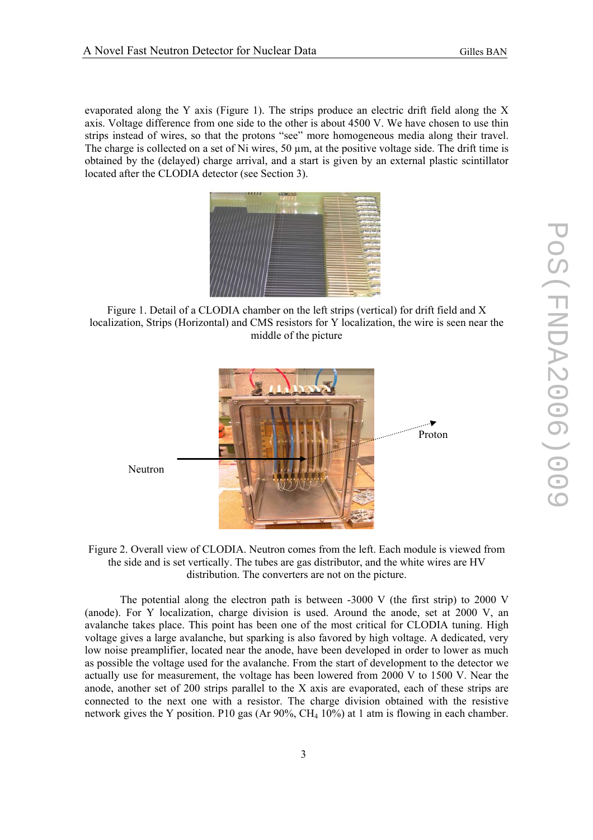evaporated along the Y axis (Figure 1). The strips produce an electric drift field along the X axis. Voltage difference from one side to the other is about 4500 V. We have chosen to use thin strips instead of wires, so that the protons "see" more homogeneous media along their travel. The charge is collected on a set of Ni wires, 50 um, at the positive voltage side. The drift time is obtained by the (delayed) charge arrival, and a start is given by an external plastic scintillator located after the CLODIA detector (see Section 3).



Figure 1. Detail of a CLODIA chamber on the left strips (vertical) for drift field and X localization, Strips (Horizontal) and CMS resistors for Y localization, the wire is seen near the middle of the picture



Figure 2. Overall view of CLODIA. Neutron comes from the left. Each module is viewed from the side and is set vertically. The tubes are gas distributor, and the white wires are HV distribution. The converters are not on the picture.

 The potential along the electron path is between -3000 V (the first strip) to 2000 V (anode). For Y localization, charge division is used. Around the anode, set at 2000 V, an avalanche takes place. This point has been one of the most critical for CLODIA tuning. High voltage gives a large avalanche, but sparking is also favored by high voltage. A dedicated, very low noise preamplifier, located near the anode, have been developed in order to lower as much as possible the voltage used for the avalanche. From the start of development to the detector we actually use for measurement, the voltage has been lowered from 2000 V to 1500 V. Near the anode, another set of 200 strips parallel to the X axis are evaporated, each of these strips are connected to the next one with a resistor. The charge division obtained with the resistive network gives the Y position. P10 gas (Ar 90%, CH $_4$  10%) at 1 atm is flowing in each chamber.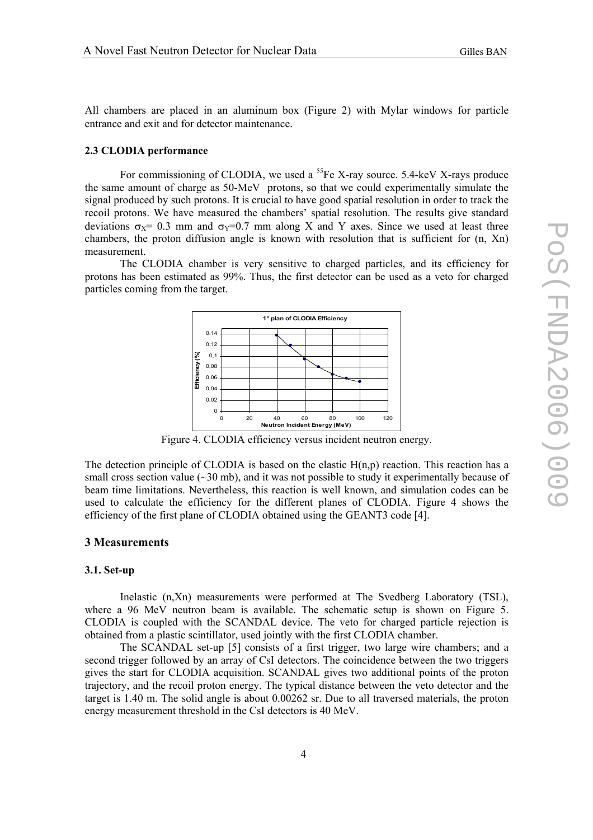All chambers are placed in an aluminum box (Figure 2) with Mylar windows for particle entrance and exit and for detector maintenance.

#### **2.3 CLODIA performance**

For commissioning of CLODIA, we used a  ${}^{55}Fe$  X-ray source. 5.4-keV X-rays produce the same amount of charge as 50-MeV protons, so that we could experimentally simulate the signal produced by such protons. It is crucial to have good spatial resolution in order to track the recoil protons. We have measured the chambers' spatial resolution. The results give standard deviations  $\sigma_x = 0.3$  mm and  $\sigma_y = 0.7$  mm along X and Y axes. Since we used at least three chambers, the proton diffusion angle is known with resolution that is sufficient for (n, Xn) measurement.

 The CLODIA chamber is very sensitive to charged particles, and its efficiency for protons has been estimated as 99%. Thus, the first detector can be used as a veto for charged particles coming from the target.



Figure 4. CLODIA efficiency versus incident neutron energy.

The detection principle of CLODIA is based on the elastic  $H(n,p)$  reaction. This reaction has a small cross section value  $(\sim]30 \text{ mb}$ , and it was not possible to study it experimentally because of beam time limitations. Nevertheless, this reaction is well known, and simulation codes can be used to calculate the efficiency for the different planes of CLODIA. Figure 4 shows the efficiency of the first plane of CLODIA obtained using the GEANT3 code [4].

### **3 Measurements**

#### **3.1. Set-up**

Inelastic (n,Xn) measurements were performed at The Svedberg Laboratory (TSL), where a 96 MeV neutron beam is available. The schematic setup is shown on Figure 5. CLODIA is coupled with the SCANDAL device. The veto for charged particle rejection is obtained from a plastic scintillator, used jointly with the first CLODIA chamber.

The SCANDAL set-up [5] consists of a first trigger, two large wire chambers; and a second trigger followed by an array of CsI detectors. The coincidence between the two triggers gives the start for CLODIA acquisition. SCANDAL gives two additional points of the proton trajectory, and the recoil proton energy. The typical distance between the veto detector and the target is 1.40 m. The solid angle is about 0.00262 sr. Due to all traversed materials, the proton energy measurement threshold in the CsI detectors is 40 MeV.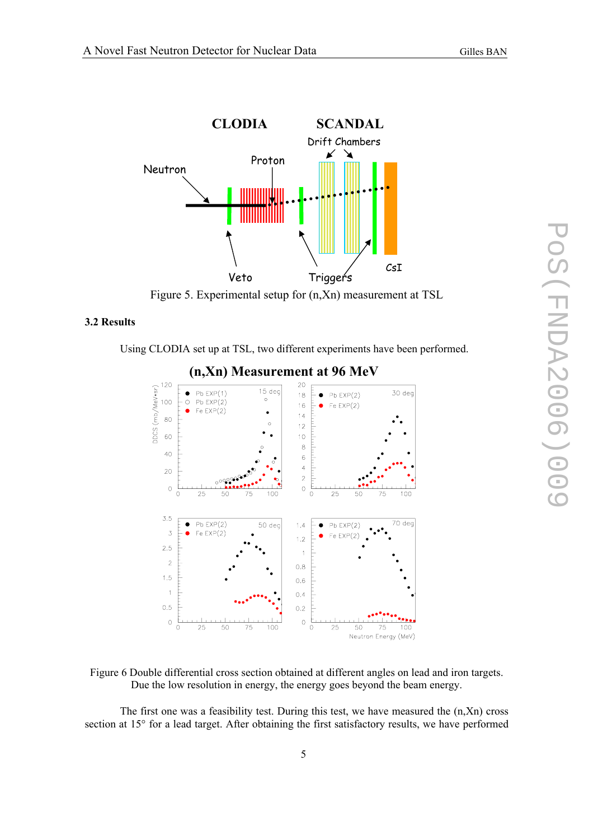

Figure 5. Experimental setup for (n,Xn) measurement at TSL

## **3.2 Results**

Using CLODIA set up at TSL, two different experiments have been performed.



Figure 6 Double differential cross section obtained at different angles on lead and iron targets. Due the low resolution in energy, the energy goes beyond the beam energy.

The first one was a feasibility test. During this test, we have measured the  $(n,Xn)$  cross section at 15° for a lead target. After obtaining the first satisfactory results, we have performed